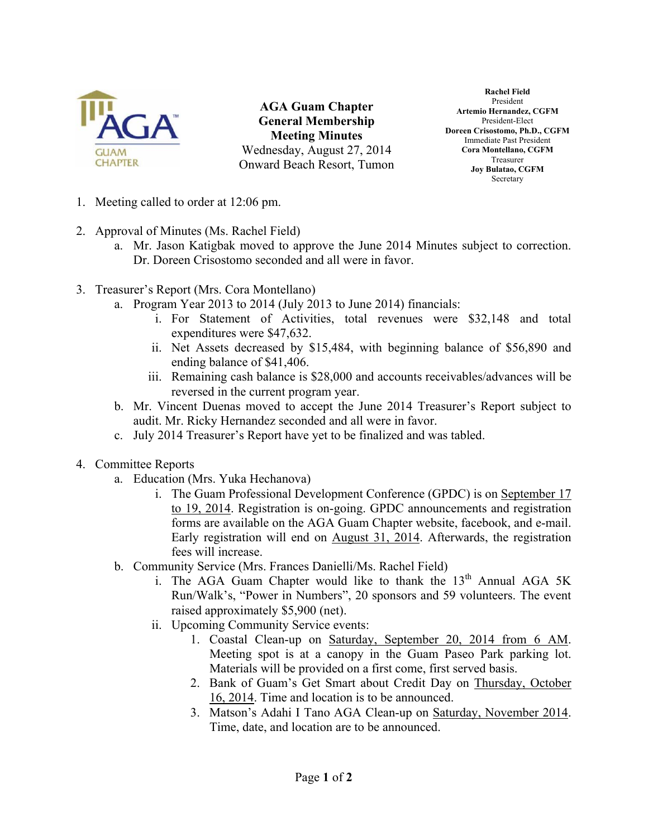

**AGA Guam Chapter General Membership Meeting Minutes** Wednesday, August 27, 2014 Onward Beach Resort, Tumon

**Rachel Field**  President **Artemio Hernandez, CGFM**  President-Elect **Doreen Crisostomo, Ph.D., CGFM**  Immediate Past President **Cora Montellano, CGFM**  Treasurer **Joy Bulatao, CGFM**  Secretary

- 1. Meeting called to order at 12:06 pm.
- 2. Approval of Minutes (Ms. Rachel Field)
	- a. Mr. Jason Katigbak moved to approve the June 2014 Minutes subject to correction. Dr. Doreen Crisostomo seconded and all were in favor.
- 3. Treasurer's Report (Mrs. Cora Montellano)
	- a. Program Year 2013 to 2014 (July 2013 to June 2014) financials:
		- i. For Statement of Activities, total revenues were \$32,148 and total expenditures were \$47,632.
		- ii. Net Assets decreased by \$15,484, with beginning balance of \$56,890 and ending balance of \$41,406.
		- iii. Remaining cash balance is \$28,000 and accounts receivables/advances will be reversed in the current program year.
	- b. Mr. Vincent Duenas moved to accept the June 2014 Treasurer's Report subject to audit. Mr. Ricky Hernandez seconded and all were in favor.
	- c. July 2014 Treasurer's Report have yet to be finalized and was tabled.
- 4. Committee Reports
	- a. Education (Mrs. Yuka Hechanova)
		- i. The Guam Professional Development Conference (GPDC) is on September 17 to 19, 2014. Registration is on-going. GPDC announcements and registration forms are available on the AGA Guam Chapter website, facebook, and e-mail. Early registration will end on August 31, 2014. Afterwards, the registration fees will increase.
	- b. Community Service (Mrs. Frances Danielli/Ms. Rachel Field)
		- i. The AGA Guam Chapter would like to thank the  $13<sup>th</sup>$  Annual AGA 5K Run/Walk's, "Power in Numbers", 20 sponsors and 59 volunteers. The event raised approximately \$5,900 (net).
		- ii. Upcoming Community Service events:
			- 1. Coastal Clean-up on Saturday, September 20, 2014 from 6 AM. Meeting spot is at a canopy in the Guam Paseo Park parking lot. Materials will be provided on a first come, first served basis.
			- 2. Bank of Guam's Get Smart about Credit Day on Thursday, October 16, 2014. Time and location is to be announced.
			- 3. Matson's Adahi I Tano AGA Clean-up on Saturday, November 2014. Time, date, and location are to be announced.